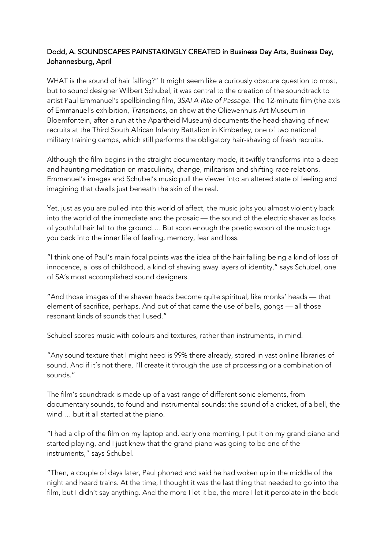## Dodd, A. SOUNDSCAPES PAINSTAKINGLY CREATED in Business Day Arts, Business Day, Johannesburg, April

WHAT is the sound of hair falling?" It might seem like a curiously obscure question to most, but to sound designer Wilbert Schubel, it was central to the creation of the soundtrack to artist Paul Emmanuel's spellbinding film, *3SAI A Rite of Passage*. The 12-minute film (the axis of Emmanuel's exhibition, *Transitions*, on show at the Oliewenhuis Art Museum in Bloemfontein, after a run at the Apartheid Museum) documents the head-shaving of new recruits at the Third South African Infantry Battalion in Kimberley, one of two national military training camps, which still performs the obligatory hair-shaving of fresh recruits.

Although the film begins in the straight documentary mode, it swiftly transforms into a deep and haunting meditation on masculinity, change, militarism and shifting race relations. Emmanuel's images and Schubel's music pull the viewer into an altered state of feeling and imagining that dwells just beneath the skin of the real.

Yet, just as you are pulled into this world of affect, the music jolts you almost violently back into the world of the immediate and the prosaic — the sound of the electric shaver as locks of youthful hair fall to the ground…. But soon enough the poetic swoon of the music tugs you back into the inner life of feeling, memory, fear and loss.

"I think one of Paul's main focal points was the idea of the hair falling being a kind of loss of innocence, a loss of childhood, a kind of shaving away layers of identity," says Schubel, one of SA's most accomplished sound designers.

"And those images of the shaven heads become quite spiritual, like monks' heads — that element of sacrifice, perhaps. And out of that came the use of bells, gongs — all those resonant kinds of sounds that I used."

Schubel scores music with colours and textures, rather than instruments, in mind.

"Any sound texture that I might need is 99% there already, stored in vast online libraries of sound. And if it's not there, I'll create it through the use of processing or a combination of sounds."

The film's soundtrack is made up of a vast range of different sonic elements, from documentary sounds, to found and instrumental sounds: the sound of a cricket, of a bell, the wind … but it all started at the piano.

"I had a clip of the film on my laptop and, early one morning, I put it on my grand piano and started playing, and I just knew that the grand piano was going to be one of the instruments," says Schubel.

"Then, a couple of days later, Paul phoned and said he had woken up in the middle of the night and heard trains. At the time, I thought it was the last thing that needed to go into the film, but I didn't say anything. And the more I let it be, the more I let it percolate in the back